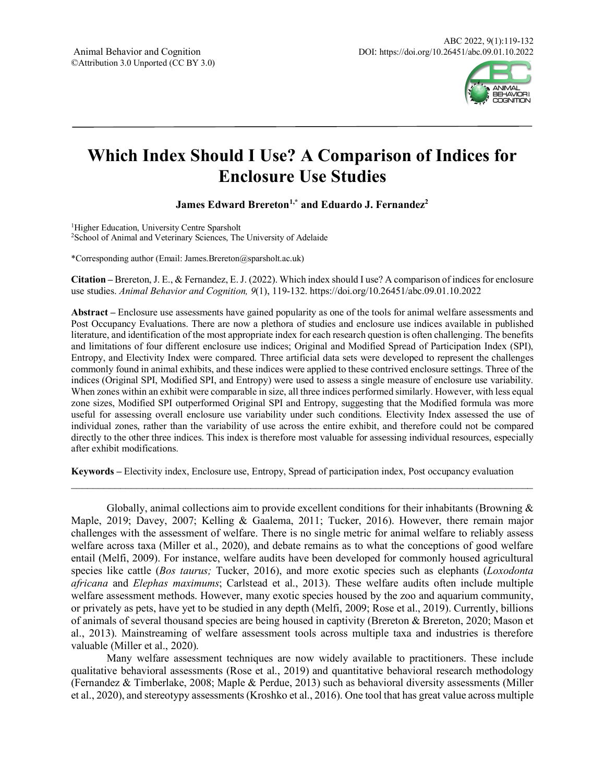

# **Which Index Should I Use? A Comparison of Indices for Enclosure Use Studies**

**James Edward Brereton1,\* and Eduardo J. Fernandez2**

1Higher Education, University Centre Sparsholt 2School of Animal and Veterinary Sciences, The University of Adelaide

\*Corresponding author (Email: James.Brereton@sparsholt.ac.uk)

**Citation –** Brereton, J. E., & Fernandez, E. J. (2022). Which index should I use? A comparison of indices for enclosure use studies. *Animal Behavior and Cognition, 9*(1), 119-132. https://doi.org/10.26451/abc.09.01.10.2022

**Abstract –** Enclosure use assessments have gained popularity as one of the tools for animal welfare assessments and Post Occupancy Evaluations. There are now a plethora of studies and enclosure use indices available in published literature, and identification of the most appropriate index for each research question is often challenging. The benefits and limitations of four different enclosure use indices; Original and Modified Spread of Participation Index (SPI), Entropy, and Electivity Index were compared. Three artificial data sets were developed to represent the challenges commonly found in animal exhibits, and these indices were applied to these contrived enclosure settings. Three of the indices (Original SPI, Modified SPI, and Entropy) were used to assess a single measure of enclosure use variability. When zones within an exhibit were comparable in size, all three indices performed similarly. However, with less equal zone sizes, Modified SPI outperformed Original SPI and Entropy, suggesting that the Modified formula was more useful for assessing overall enclosure use variability under such conditions. Electivity Index assessed the use of individual zones, rather than the variability of use across the entire exhibit, and therefore could not be compared directly to the other three indices. This index is therefore most valuable for assessing individual resources, especially after exhibit modifications.

**Keywords –** Electivity index, Enclosure use, Entropy, Spread of participation index, Post occupancy evaluation

 $\mathcal{L}_\mathcal{L} = \{ \mathcal{L}_\mathcal{L} = \{ \mathcal{L}_\mathcal{L} = \{ \mathcal{L}_\mathcal{L} = \{ \mathcal{L}_\mathcal{L} = \{ \mathcal{L}_\mathcal{L} = \{ \mathcal{L}_\mathcal{L} = \{ \mathcal{L}_\mathcal{L} = \{ \mathcal{L}_\mathcal{L} = \{ \mathcal{L}_\mathcal{L} = \{ \mathcal{L}_\mathcal{L} = \{ \mathcal{L}_\mathcal{L} = \{ \mathcal{L}_\mathcal{L} = \{ \mathcal{L}_\mathcal{L} = \{ \mathcal{L}_\mathcal{$ 

Globally, animal collections aim to provide excellent conditions for their inhabitants (Browning  $\&$ Maple, 2019; Davey, 2007; Kelling & Gaalema, 2011; Tucker, 2016). However, there remain major challenges with the assessment of welfare. There is no single metric for animal welfare to reliably assess welfare across taxa (Miller et al., 2020), and debate remains as to what the conceptions of good welfare entail (Melfi, 2009). For instance, welfare audits have been developed for commonly housed agricultural species like cattle (*Bos taurus;* Tucker, 2016), and more exotic species such as elephants (*Loxodonta africana* and *Elephas maximums*; Carlstead et al., 2013). These welfare audits often include multiple welfare assessment methods. However, many exotic species housed by the zoo and aquarium community, or privately as pets, have yet to be studied in any depth (Melfi, 2009; Rose et al., 2019). Currently, billions of animals of several thousand species are being housed in captivity (Brereton & Brereton, 2020; Mason et al., 2013). Mainstreaming of welfare assessment tools across multiple taxa and industries is therefore valuable (Miller et al., 2020).

Many welfare assessment techniques are now widely available to practitioners. These include qualitative behavioral assessments (Rose et al., 2019) and quantitative behavioral research methodology (Fernandez & Timberlake, 2008; Maple & Perdue, 2013) such as behavioral diversity assessments (Miller et al., 2020), and stereotypy assessments (Kroshko et al., 2016). One tool that has great value across multiple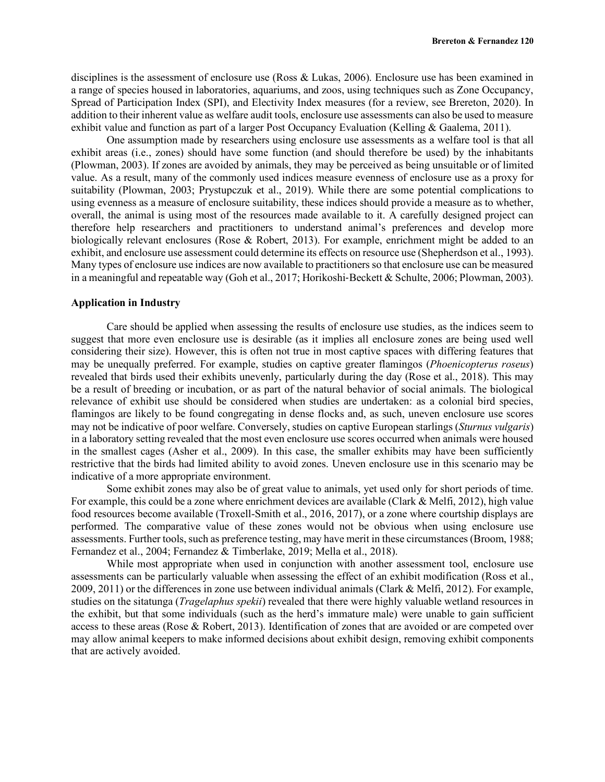disciplines is the assessment of enclosure use (Ross & Lukas, 2006). Enclosure use has been examined in a range of species housed in laboratories, aquariums, and zoos, using techniques such as Zone Occupancy, Spread of Participation Index (SPI), and Electivity Index measures (for a review, see Brereton, 2020). In addition to their inherent value as welfare audit tools, enclosure use assessments can also be used to measure exhibit value and function as part of a larger Post Occupancy Evaluation (Kelling & Gaalema, 2011).

One assumption made by researchers using enclosure use assessments as a welfare tool is that all exhibit areas (i.e., zones) should have some function (and should therefore be used) by the inhabitants (Plowman, 2003). If zones are avoided by animals, they may be perceived as being unsuitable or of limited value. As a result, many of the commonly used indices measure evenness of enclosure use as a proxy for suitability (Plowman, 2003; Prystupczuk et al., 2019). While there are some potential complications to using evenness as a measure of enclosure suitability, these indices should provide a measure as to whether, overall, the animal is using most of the resources made available to it. A carefully designed project can therefore help researchers and practitioners to understand animal's preferences and develop more biologically relevant enclosures (Rose & Robert, 2013). For example, enrichment might be added to an exhibit, and enclosure use assessment could determine its effects on resource use (Shepherdson et al., 1993). Many types of enclosure use indices are now available to practitioners so that enclosure use can be measured in a meaningful and repeatable way (Goh et al., 2017; Horikoshi-Beckett & Schulte, 2006; Plowman, 2003).

## **Application in Industry**

Care should be applied when assessing the results of enclosure use studies, as the indices seem to suggest that more even enclosure use is desirable (as it implies all enclosure zones are being used well considering their size). However, this is often not true in most captive spaces with differing features that may be unequally preferred. For example, studies on captive greater flamingos (*Phoenicopterus roseus*) revealed that birds used their exhibits unevenly, particularly during the day (Rose et al., 2018). This may be a result of breeding or incubation, or as part of the natural behavior of social animals. The biological relevance of exhibit use should be considered when studies are undertaken: as a colonial bird species, flamingos are likely to be found congregating in dense flocks and, as such, uneven enclosure use scores may not be indicative of poor welfare. Conversely, studies on captive European starlings (*Sturnus vulgaris*) in a laboratory setting revealed that the most even enclosure use scores occurred when animals were housed in the smallest cages (Asher et al., 2009). In this case, the smaller exhibits may have been sufficiently restrictive that the birds had limited ability to avoid zones. Uneven enclosure use in this scenario may be indicative of a more appropriate environment.

Some exhibit zones may also be of great value to animals, yet used only for short periods of time. For example, this could be a zone where enrichment devices are available (Clark & Melfi, 2012), high value food resources become available (Troxell-Smith et al., 2016, 2017), or a zone where courtship displays are performed. The comparative value of these zones would not be obvious when using enclosure use assessments. Further tools, such as preference testing, may have merit in these circumstances (Broom, 1988; Fernandez et al., 2004; Fernandez & Timberlake, 2019; Mella et al., 2018).

While most appropriate when used in conjunction with another assessment tool, enclosure use assessments can be particularly valuable when assessing the effect of an exhibit modification (Ross et al., 2009, 2011) or the differences in zone use between individual animals (Clark & Melfi, 2012). For example, studies on the sitatunga (*Tragelaphus spekii*) revealed that there were highly valuable wetland resources in the exhibit, but that some individuals (such as the herd's immature male) were unable to gain sufficient access to these areas (Rose & Robert, 2013). Identification of zones that are avoided or are competed over may allow animal keepers to make informed decisions about exhibit design, removing exhibit components that are actively avoided.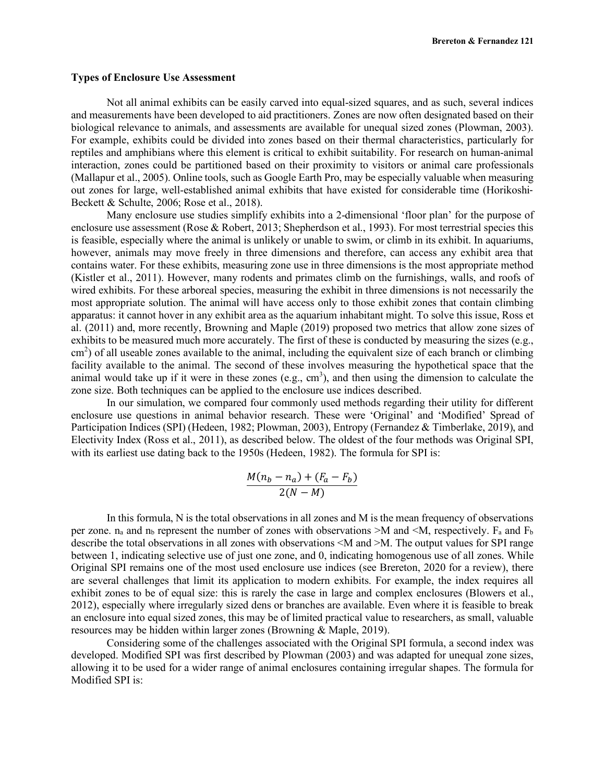## **Types of Enclosure Use Assessment**

Not all animal exhibits can be easily carved into equal-sized squares, and as such, several indices and measurements have been developed to aid practitioners. Zones are now often designated based on their biological relevance to animals, and assessments are available for unequal sized zones (Plowman, 2003). For example, exhibits could be divided into zones based on their thermal characteristics, particularly for reptiles and amphibians where this element is critical to exhibit suitability. For research on human-animal interaction, zones could be partitioned based on their proximity to visitors or animal care professionals (Mallapur et al., 2005). Online tools, such as Google Earth Pro, may be especially valuable when measuring out zones for large, well-established animal exhibits that have existed for considerable time (Horikoshi-Beckett & Schulte, 2006; Rose et al., 2018).

Many enclosure use studies simplify exhibits into a 2-dimensional 'floor plan' for the purpose of enclosure use assessment (Rose & Robert, 2013; Shepherdson et al., 1993). For most terrestrial species this is feasible, especially where the animal is unlikely or unable to swim, or climb in its exhibit. In aquariums, however, animals may move freely in three dimensions and therefore, can access any exhibit area that contains water. For these exhibits, measuring zone use in three dimensions is the most appropriate method (Kistler et al., 2011). However, many rodents and primates climb on the furnishings, walls, and roofs of wired exhibits. For these arboreal species, measuring the exhibit in three dimensions is not necessarily the most appropriate solution. The animal will have access only to those exhibit zones that contain climbing apparatus: it cannot hover in any exhibit area as the aquarium inhabitant might. To solve this issue, Ross et al. (2011) and, more recently, Browning and Maple (2019) proposed two metrics that allow zone sizes of exhibits to be measured much more accurately. The first of these is conducted by measuring the sizes (e.g., cm<sup>2</sup>) of all useable zones available to the animal, including the equivalent size of each branch or climbing facility available to the animal. The second of these involves measuring the hypothetical space that the animal would take up if it were in these zones (e.g.,  $cm<sup>3</sup>$ ), and then using the dimension to calculate the zone size. Both techniques can be applied to the enclosure use indices described.

In our simulation, we compared four commonly used methods regarding their utility for different enclosure use questions in animal behavior research. These were 'Original' and 'Modified' Spread of Participation Indices (SPI) (Hedeen, 1982; Plowman, 2003), Entropy (Fernandez & Timberlake, 2019), and Electivity Index (Ross et al., 2011), as described below. The oldest of the four methods was Original SPI, with its earliest use dating back to the 1950s (Hedeen, 1982). The formula for SPI is:

$$
\frac{M(n_b - n_a) + (F_a - F_b)}{2(N - M)}
$$

In this formula, N is the total observations in all zones and M is the mean frequency of observations per zone.  $n_a$  and  $n_b$  represent the number of zones with observations  $\geq M$  and  $\leq M$ , respectively. F<sub>a</sub> and F<sub>b</sub> describe the total observations in all zones with observations <M and >M. The output values for SPI range between 1, indicating selective use of just one zone, and 0, indicating homogenous use of all zones. While Original SPI remains one of the most used enclosure use indices (see Brereton, 2020 for a review), there are several challenges that limit its application to modern exhibits. For example, the index requires all exhibit zones to be of equal size: this is rarely the case in large and complex enclosures (Blowers et al., 2012), especially where irregularly sized dens or branches are available. Even where it is feasible to break an enclosure into equal sized zones, this may be of limited practical value to researchers, as small, valuable resources may be hidden within larger zones (Browning & Maple, 2019).

Considering some of the challenges associated with the Original SPI formula, a second index was developed. Modified SPI was first described by Plowman (2003) and was adapted for unequal zone sizes, allowing it to be used for a wider range of animal enclosures containing irregular shapes. The formula for Modified SPI is: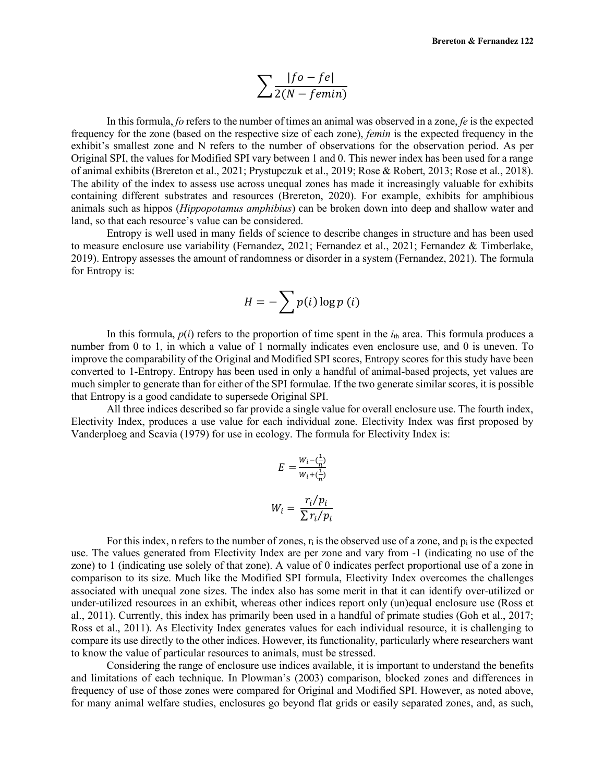$$
\sum \frac{|fo - fe|}{2(N - femin)}
$$

In this formula, *fo* refers to the number of times an animal was observed in a zone, *fe* is the expected frequency for the zone (based on the respective size of each zone), *femin* is the expected frequency in the exhibit's smallest zone and N refers to the number of observations for the observation period. As per Original SPI, the values for Modified SPI vary between 1 and 0. This newer index has been used for a range of animal exhibits (Brereton et al., 2021; Prystupczuk et al., 2019; Rose & Robert, 2013; Rose et al., 2018). The ability of the index to assess use across unequal zones has made it increasingly valuable for exhibits containing different substrates and resources (Brereton, 2020). For example, exhibits for amphibious animals such as hippos (*Hippopotamus amphibius*) can be broken down into deep and shallow water and land, so that each resource's value can be considered.

Entropy is well used in many fields of science to describe changes in structure and has been used to measure enclosure use variability (Fernandez, 2021; Fernandez et al., 2021; Fernandez & Timberlake, 2019). Entropy assesses the amount of randomness or disorder in a system (Fernandez, 2021). The formula for Entropy is:

$$
H = -\sum p(i) \log p(i)
$$

In this formula,  $p(i)$  refers to the proportion of time spent in the  $i<sub>th</sub>$  area. This formula produces a number from 0 to 1, in which a value of 1 normally indicates even enclosure use, and 0 is uneven. To improve the comparability of the Original and Modified SPI scores, Entropy scores for this study have been converted to 1-Entropy. Entropy has been used in only a handful of animal-based projects, yet values are much simpler to generate than for either of the SPI formulae. If the two generate similar scores, it is possible that Entropy is a good candidate to supersede Original SPI.

All three indices described so far provide a single value for overall enclosure use. The fourth index, Electivity Index, produces a use value for each individual zone. Electivity Index was first proposed by Vanderploeg and Scavia (1979) for use in ecology. The formula for Electivity Index is:

$$
E = \frac{w_i - (\frac{1}{n})}{w_i + (\frac{1}{n})}
$$

$$
W_i = \frac{r_i/p_i}{\sum r_i/p_i}
$$

For this index, n refers to the number of zones,  $r_i$  is the observed use of a zone, and  $p_i$  is the expected use. The values generated from Electivity Index are per zone and vary from -1 (indicating no use of the zone) to 1 (indicating use solely of that zone). A value of 0 indicates perfect proportional use of a zone in comparison to its size. Much like the Modified SPI formula, Electivity Index overcomes the challenges associated with unequal zone sizes. The index also has some merit in that it can identify over-utilized or under-utilized resources in an exhibit, whereas other indices report only (un)equal enclosure use (Ross et al., 2011). Currently, this index has primarily been used in a handful of primate studies (Goh et al., 2017; Ross et al., 2011). As Electivity Index generates values for each individual resource, it is challenging to compare its use directly to the other indices. However, its functionality, particularly where researchers want to know the value of particular resources to animals, must be stressed.

Considering the range of enclosure use indices available, it is important to understand the benefits and limitations of each technique. In Plowman's (2003) comparison, blocked zones and differences in frequency of use of those zones were compared for Original and Modified SPI. However, as noted above, for many animal welfare studies, enclosures go beyond flat grids or easily separated zones, and, as such,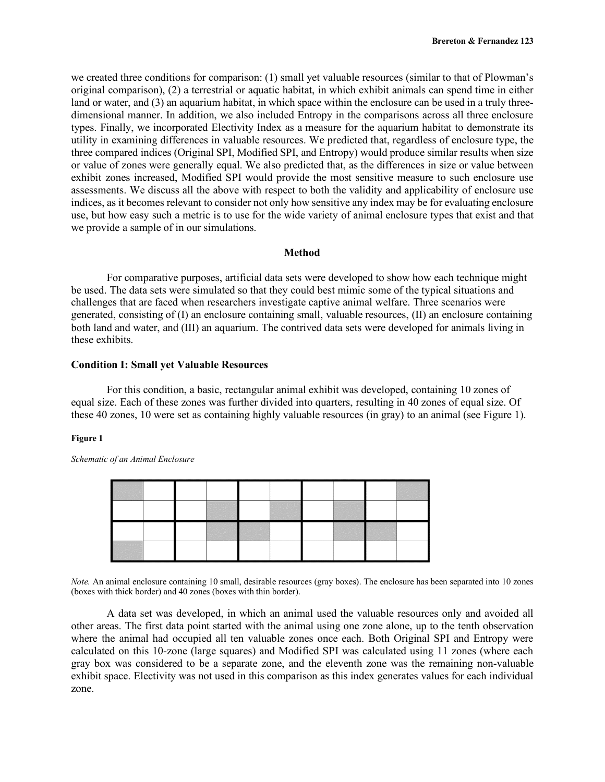we created three conditions for comparison: (1) small yet valuable resources (similar to that of Plowman's original comparison), (2) a terrestrial or aquatic habitat, in which exhibit animals can spend time in either land or water, and (3) an aquarium habitat, in which space within the enclosure can be used in a truly threedimensional manner. In addition, we also included Entropy in the comparisons across all three enclosure types. Finally, we incorporated Electivity Index as a measure for the aquarium habitat to demonstrate its utility in examining differences in valuable resources. We predicted that, regardless of enclosure type, the three compared indices (Original SPI, Modified SPI, and Entropy) would produce similar results when size or value of zones were generally equal. We also predicted that, as the differences in size or value between exhibit zones increased, Modified SPI would provide the most sensitive measure to such enclosure use assessments. We discuss all the above with respect to both the validity and applicability of enclosure use indices, as it becomes relevant to consider not only how sensitive any index may be for evaluating enclosure use, but how easy such a metric is to use for the wide variety of animal enclosure types that exist and that we provide a sample of in our simulations.

## **Method**

For comparative purposes, artificial data sets were developed to show how each technique might be used. The data sets were simulated so that they could best mimic some of the typical situations and challenges that are faced when researchers investigate captive animal welfare. Three scenarios were generated, consisting of (I) an enclosure containing small, valuable resources, (II) an enclosure containing both land and water, and (III) an aquarium. The contrived data sets were developed for animals living in these exhibits.

## **Condition I: Small yet Valuable Resources**

For this condition, a basic, rectangular animal exhibit was developed, containing 10 zones of equal size. Each of these zones was further divided into quarters, resulting in 40 zones of equal size. Of these 40 zones, 10 were set as containing highly valuable resources (in gray) to an animal (see Figure 1).

## **Figure 1**

*Schematic of an Animal Enclosure*

*Note.* An animal enclosure containing 10 small, desirable resources (gray boxes). The enclosure has been separated into 10 zones (boxes with thick border) and 40 zones (boxes with thin border).

A data set was developed, in which an animal used the valuable resources only and avoided all other areas. The first data point started with the animal using one zone alone, up to the tenth observation where the animal had occupied all ten valuable zones once each. Both Original SPI and Entropy were calculated on this 10-zone (large squares) and Modified SPI was calculated using 11 zones (where each gray box was considered to be a separate zone, and the eleventh zone was the remaining non-valuable exhibit space. Electivity was not used in this comparison as this index generates values for each individual zone.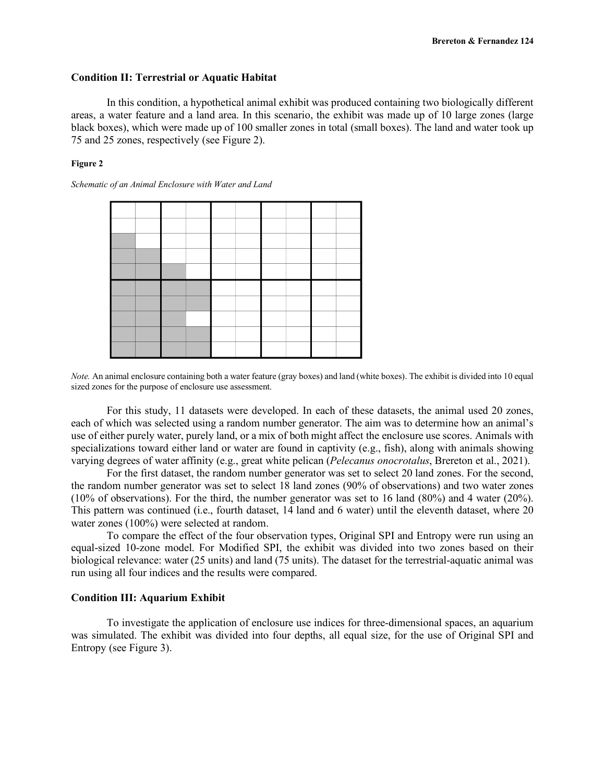## **Condition II: Terrestrial or Aquatic Habitat**

In this condition, a hypothetical animal exhibit was produced containing two biologically different areas, a water feature and a land area. In this scenario, the exhibit was made up of 10 large zones (large black boxes), which were made up of 100 smaller zones in total (small boxes). The land and water took up 75 and 25 zones, respectively (see Figure 2).

## **Figure 2**

*Schematic of an Animal Enclosure with Water and Land*

*Note.* An animal enclosure containing both a water feature (gray boxes) and land (white boxes). The exhibit is divided into 10 equal sized zones for the purpose of enclosure use assessment.

For this study, 11 datasets were developed. In each of these datasets, the animal used 20 zones, each of which was selected using a random number generator. The aim was to determine how an animal's use of either purely water, purely land, or a mix of both might affect the enclosure use scores. Animals with specializations toward either land or water are found in captivity (e.g., fish), along with animals showing varying degrees of water affinity (e.g., great white pelican (*Pelecanus onocrotalus*, Brereton et al., 2021).

For the first dataset, the random number generator was set to select 20 land zones. For the second, the random number generator was set to select 18 land zones (90% of observations) and two water zones (10% of observations). For the third, the number generator was set to 16 land (80%) and 4 water (20%). This pattern was continued (i.e., fourth dataset, 14 land and 6 water) until the eleventh dataset, where 20 water zones (100%) were selected at random.

To compare the effect of the four observation types, Original SPI and Entropy were run using an equal-sized 10-zone model. For Modified SPI, the exhibit was divided into two zones based on their biological relevance: water (25 units) and land (75 units). The dataset for the terrestrial-aquatic animal was run using all four indices and the results were compared.

# **Condition III: Aquarium Exhibit**

To investigate the application of enclosure use indices for three-dimensional spaces, an aquarium was simulated. The exhibit was divided into four depths, all equal size, for the use of Original SPI and Entropy (see Figure 3).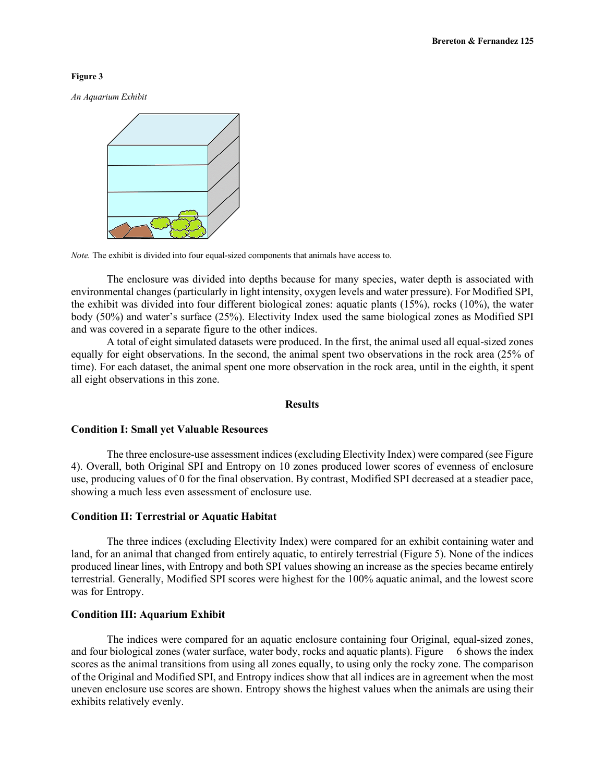## **Figure 3**

*An Aquarium Exhibit*



*Note.* The exhibit is divided into four equal-sized components that animals have access to.

The enclosure was divided into depths because for many species, water depth is associated with environmental changes (particularly in light intensity, oxygen levels and water pressure). For Modified SPI, the exhibit was divided into four different biological zones: aquatic plants (15%), rocks (10%), the water body (50%) and water's surface (25%). Electivity Index used the same biological zones as Modified SPI and was covered in a separate figure to the other indices.

A total of eight simulated datasets were produced. In the first, the animal used all equal-sized zones equally for eight observations. In the second, the animal spent two observations in the rock area (25% of time). For each dataset, the animal spent one more observation in the rock area, until in the eighth, it spent all eight observations in this zone.

## **Results**

## **Condition I: Small yet Valuable Resources**

The three enclosure-use assessment indices (excluding Electivity Index) were compared (see Figure 4). Overall, both Original SPI and Entropy on 10 zones produced lower scores of evenness of enclosure use, producing values of 0 for the final observation. By contrast, Modified SPI decreased at a steadier pace, showing a much less even assessment of enclosure use.

## **Condition II: Terrestrial or Aquatic Habitat**

The three indices (excluding Electivity Index) were compared for an exhibit containing water and land, for an animal that changed from entirely aquatic, to entirely terrestrial (Figure 5). None of the indices produced linear lines, with Entropy and both SPI values showing an increase as the species became entirely terrestrial. Generally, Modified SPI scores were highest for the 100% aquatic animal, and the lowest score was for Entropy.

## **Condition III: Aquarium Exhibit**

The indices were compared for an aquatic enclosure containing four Original, equal-sized zones, and four biological zones (water surface, water body, rocks and aquatic plants). Figure 6 shows the index scores as the animal transitions from using all zones equally, to using only the rocky zone. The comparison of the Original and Modified SPI, and Entropy indices show that all indices are in agreement when the most uneven enclosure use scores are shown. Entropy shows the highest values when the animals are using their exhibits relatively evenly.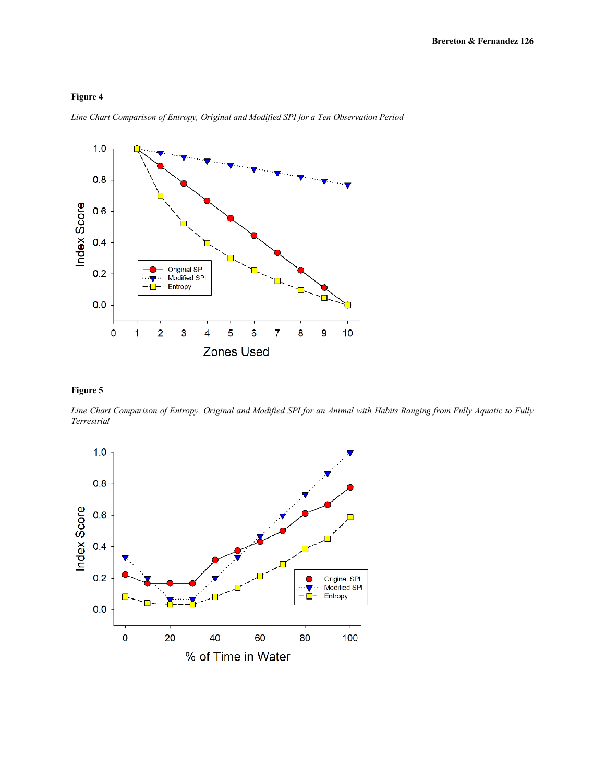# **Figure 4**



*Line Chart Comparison of Entropy, Original and Modified SPI for a Ten Observation Period*

## **Figure 5**

*Line Chart Comparison of Entropy, Original and Modified SPI for an Animal with Habits Ranging from Fully Aquatic to Fully Terrestrial*

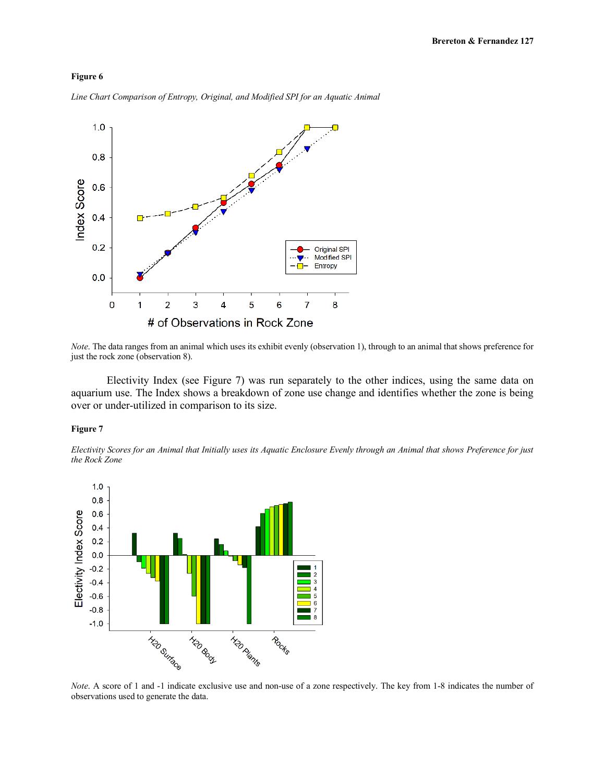## **Figure 6**

 $1.0$  $0.8$ Index Score  $0.6$  $0.4$  $0.2$ Original SPI Modified SPI Entropy  $0.0$  $\mathbf 0$  $\overline{2}$ 3  $\overline{4}$ 5 6 8 1  $\overline{7}$ # of Observations in Rock Zone

*Line Chart Comparison of Entropy, Original, and Modified SPI for an Aquatic Animal*

Electivity Index (see Figure 7) was run separately to the other indices, using the same data on aquarium use. The Index shows a breakdown of zone use change and identifies whether the zone is being over or under-utilized in comparison to its size.

## **Figure 7**

*Electivity Scores for an Animal that Initially uses its Aquatic Enclosure Evenly through an Animal that shows Preference for just the Rock Zone*



*Note*. A score of 1 and -1 indicate exclusive use and non-use of a zone respectively. The key from 1-8 indicates the number of observations used to generate the data.

*Note*. The data ranges from an animal which uses its exhibit evenly (observation 1), through to an animal that shows preference for just the rock zone (observation 8).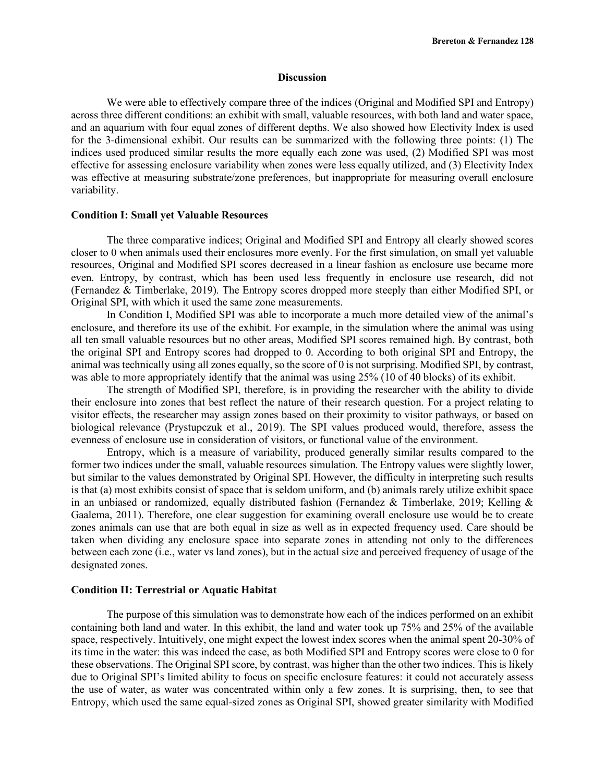## **Discussion**

We were able to effectively compare three of the indices (Original and Modified SPI and Entropy) across three different conditions: an exhibit with small, valuable resources, with both land and water space, and an aquarium with four equal zones of different depths. We also showed how Electivity Index is used for the 3-dimensional exhibit. Our results can be summarized with the following three points: (1) The indices used produced similar results the more equally each zone was used, (2) Modified SPI was most effective for assessing enclosure variability when zones were less equally utilized, and (3) Electivity Index was effective at measuring substrate/zone preferences, but inappropriate for measuring overall enclosure variability.

## **Condition I: Small yet Valuable Resources**

The three comparative indices; Original and Modified SPI and Entropy all clearly showed scores closer to 0 when animals used their enclosures more evenly. For the first simulation, on small yet valuable resources, Original and Modified SPI scores decreased in a linear fashion as enclosure use became more even. Entropy, by contrast, which has been used less frequently in enclosure use research, did not (Fernandez & Timberlake, 2019). The Entropy scores dropped more steeply than either Modified SPI, or Original SPI, with which it used the same zone measurements.

In Condition I, Modified SPI was able to incorporate a much more detailed view of the animal's enclosure, and therefore its use of the exhibit. For example, in the simulation where the animal was using all ten small valuable resources but no other areas, Modified SPI scores remained high. By contrast, both the original SPI and Entropy scores had dropped to 0. According to both original SPI and Entropy, the animal was technically using all zones equally, so the score of 0 is not surprising. Modified SPI, by contrast, was able to more appropriately identify that the animal was using 25% (10 of 40 blocks) of its exhibit.

The strength of Modified SPI, therefore, is in providing the researcher with the ability to divide their enclosure into zones that best reflect the nature of their research question. For a project relating to visitor effects, the researcher may assign zones based on their proximity to visitor pathways, or based on biological relevance (Prystupczuk et al., 2019). The SPI values produced would, therefore, assess the evenness of enclosure use in consideration of visitors, or functional value of the environment.

Entropy, which is a measure of variability, produced generally similar results compared to the former two indices under the small, valuable resources simulation. The Entropy values were slightly lower, but similar to the values demonstrated by Original SPI. However, the difficulty in interpreting such results is that (a) most exhibits consist of space that is seldom uniform, and (b) animals rarely utilize exhibit space in an unbiased or randomized, equally distributed fashion (Fernandez & Timberlake, 2019; Kelling  $\&$ Gaalema, 2011). Therefore, one clear suggestion for examining overall enclosure use would be to create zones animals can use that are both equal in size as well as in expected frequency used. Care should be taken when dividing any enclosure space into separate zones in attending not only to the differences between each zone (i.e., water vs land zones), but in the actual size and perceived frequency of usage of the designated zones.

## **Condition II: Terrestrial or Aquatic Habitat**

The purpose of this simulation was to demonstrate how each of the indices performed on an exhibit containing both land and water. In this exhibit, the land and water took up 75% and 25% of the available space, respectively. Intuitively, one might expect the lowest index scores when the animal spent 20-30% of its time in the water: this was indeed the case, as both Modified SPI and Entropy scores were close to 0 for these observations. The Original SPI score, by contrast, was higher than the other two indices. This is likely due to Original SPI's limited ability to focus on specific enclosure features: it could not accurately assess the use of water, as water was concentrated within only a few zones. It is surprising, then, to see that Entropy, which used the same equal-sized zones as Original SPI, showed greater similarity with Modified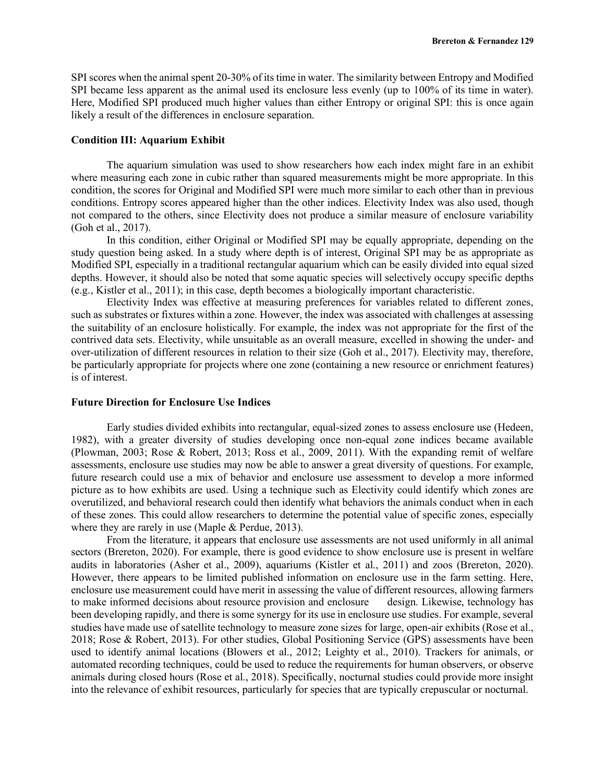SPI scores when the animal spent 20-30% of its time in water. The similarity between Entropy and Modified SPI became less apparent as the animal used its enclosure less evenly (up to 100% of its time in water). Here, Modified SPI produced much higher values than either Entropy or original SPI: this is once again likely a result of the differences in enclosure separation.

# **Condition III: Aquarium Exhibit**

The aquarium simulation was used to show researchers how each index might fare in an exhibit where measuring each zone in cubic rather than squared measurements might be more appropriate. In this condition, the scores for Original and Modified SPI were much more similar to each other than in previous conditions. Entropy scores appeared higher than the other indices. Electivity Index was also used, though not compared to the others, since Electivity does not produce a similar measure of enclosure variability (Goh et al., 2017).

In this condition, either Original or Modified SPI may be equally appropriate, depending on the study question being asked. In a study where depth is of interest, Original SPI may be as appropriate as Modified SPI, especially in a traditional rectangular aquarium which can be easily divided into equal sized depths. However, it should also be noted that some aquatic species will selectively occupy specific depths (e.g., Kistler et al., 2011); in this case, depth becomes a biologically important characteristic.

Electivity Index was effective at measuring preferences for variables related to different zones, such as substrates or fixtures within a zone. However, the index was associated with challenges at assessing the suitability of an enclosure holistically. For example, the index was not appropriate for the first of the contrived data sets. Electivity, while unsuitable as an overall measure, excelled in showing the under- and over-utilization of different resources in relation to their size (Goh et al., 2017). Electivity may, therefore, be particularly appropriate for projects where one zone (containing a new resource or enrichment features) is of interest.

# **Future Direction for Enclosure Use Indices**

Early studies divided exhibits into rectangular, equal-sized zones to assess enclosure use (Hedeen, 1982), with a greater diversity of studies developing once non-equal zone indices became available (Plowman, 2003; Rose & Robert, 2013; Ross et al., 2009, 2011). With the expanding remit of welfare assessments, enclosure use studies may now be able to answer a great diversity of questions. For example, future research could use a mix of behavior and enclosure use assessment to develop a more informed picture as to how exhibits are used. Using a technique such as Electivity could identify which zones are overutilized, and behavioral research could then identify what behaviors the animals conduct when in each of these zones. This could allow researchers to determine the potential value of specific zones, especially where they are rarely in use (Maple & Perdue, 2013).

From the literature, it appears that enclosure use assessments are not used uniformly in all animal sectors (Brereton, 2020). For example, there is good evidence to show enclosure use is present in welfare audits in laboratories (Asher et al., 2009), aquariums (Kistler et al., 2011) and zoos (Brereton, 2020). However, there appears to be limited published information on enclosure use in the farm setting. Here, enclosure use measurement could have merit in assessing the value of different resources, allowing farmers to make informed decisions about resource provision and enclosure design. Likewise, technology has been developing rapidly, and there is some synergy for its use in enclosure use studies. For example, several studies have made use of satellite technology to measure zone sizes for large, open-air exhibits (Rose et al., 2018; Rose & Robert, 2013). For other studies, Global Positioning Service (GPS) assessments have been used to identify animal locations (Blowers et al., 2012; Leighty et al., 2010). Trackers for animals, or automated recording techniques, could be used to reduce the requirements for human observers, or observe animals during closed hours (Rose et al., 2018). Specifically, nocturnal studies could provide more insight into the relevance of exhibit resources, particularly for species that are typically crepuscular or nocturnal.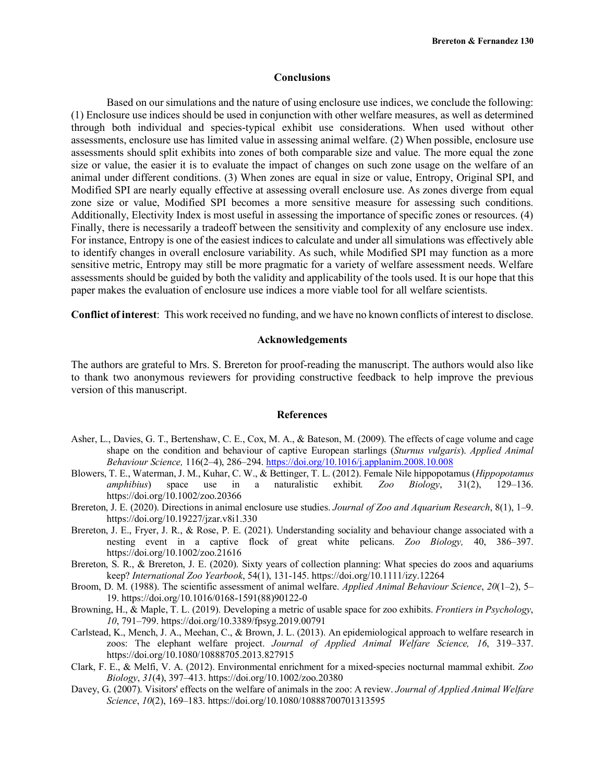## **Conclusions**

Based on our simulations and the nature of using enclosure use indices, we conclude the following: (1) Enclosure use indices should be used in conjunction with other welfare measures, as well as determined through both individual and species-typical exhibit use considerations. When used without other assessments, enclosure use has limited value in assessing animal welfare. (2) When possible, enclosure use assessments should split exhibits into zones of both comparable size and value. The more equal the zone size or value, the easier it is to evaluate the impact of changes on such zone usage on the welfare of an animal under different conditions. (3) When zones are equal in size or value, Entropy, Original SPI, and Modified SPI are nearly equally effective at assessing overall enclosure use. As zones diverge from equal zone size or value, Modified SPI becomes a more sensitive measure for assessing such conditions. Additionally, Electivity Index is most useful in assessing the importance of specific zones or resources. (4) Finally, there is necessarily a tradeoff between the sensitivity and complexity of any enclosure use index. For instance, Entropy is one of the easiest indices to calculate and under all simulations was effectively able to identify changes in overall enclosure variability. As such, while Modified SPI may function as a more sensitive metric, Entropy may still be more pragmatic for a variety of welfare assessment needs. Welfare assessments should be guided by both the validity and applicability of the tools used. It is our hope that this paper makes the evaluation of enclosure use indices a more viable tool for all welfare scientists.

**Conflict of interest**: This work received no funding, and we have no known conflicts of interest to disclose.

## **Acknowledgements**

The authors are grateful to Mrs. S. Brereton for proof-reading the manuscript. The authors would also like to thank two anonymous reviewers for providing constructive feedback to help improve the previous version of this manuscript.

#### **References**

- Asher, L., Davies, G. T., Bertenshaw, C. E., Cox, M. A., & Bateson, M. (2009). The effects of cage volume and cage shape on the condition and behaviour of captive European starlings (*Sturnus vulgaris*). *Applied Animal Behaviour Science,* 116(2–4), 286–294. https://doi.org/10.1016/j.applanim.2008.10.008
- Blowers, T. E., Waterman, J. M., Kuhar, C. W., & Bettinger, T. L. (2012). Female Nile hippopotamus (*Hippopotamus amphibius*) space use in a naturalistic exhibit*. Zoo Biology*, 31(2), 129–136. https://doi.org/10.1002/zoo.20366
- Brereton, J. E. (2020). Directions in animal enclosure use studies. *Journal of Zoo and Aquarium Research*, 8(1), 1–9. https://doi.org/10.19227/jzar.v8i1.330
- Brereton, J. E., Fryer, J. R., & Rose, P. E. (2021). Understanding sociality and behaviour change associated with a nesting event in a captive flock of great white pelicans. *Zoo Biology,* 40, 386–397. https://doi.org/10.1002/zoo.21616
- Brereton, S. R., & Brereton, J. E. (2020). Sixty years of collection planning: What species do zoos and aquariums keep? *International Zoo Yearbook*, 54(1), 131-145. https://doi.org/10.1111/izy.12264
- Broom, D. M. (1988). The scientific assessment of animal welfare. *Applied Animal Behaviour Science*, *20*(1–2), 5– 19. https://doi.org/10.1016/0168-1591(88)90122-0
- Browning, H., & Maple, T. L. (2019). Developing a metric of usable space for zoo exhibits. *Frontiers in Psychology*, *10*, 791–799. https://doi.org/10.3389/fpsyg.2019.00791
- Carlstead, K., Mench, J. A., Meehan, C., & Brown, J. L. (2013). An epidemiological approach to welfare research in zoos: The elephant welfare project. *Journal of Applied Animal Welfare Science, 16*, 319–337. https://doi.org/10.1080/10888705.2013.827915
- Clark, F. E., & Melfi, V. A. (2012). Environmental enrichment for a mixed-species nocturnal mammal exhibit. *Zoo Biology*, *31*(4), 397–413. https://doi.org/10.1002/zoo.20380
- Davey, G. (2007). Visitors' effects on the welfare of animals in the zoo: A review. *Journal of Applied Animal Welfare Science*, *10*(2), 169–183. https://doi.org/10.1080/10888700701313595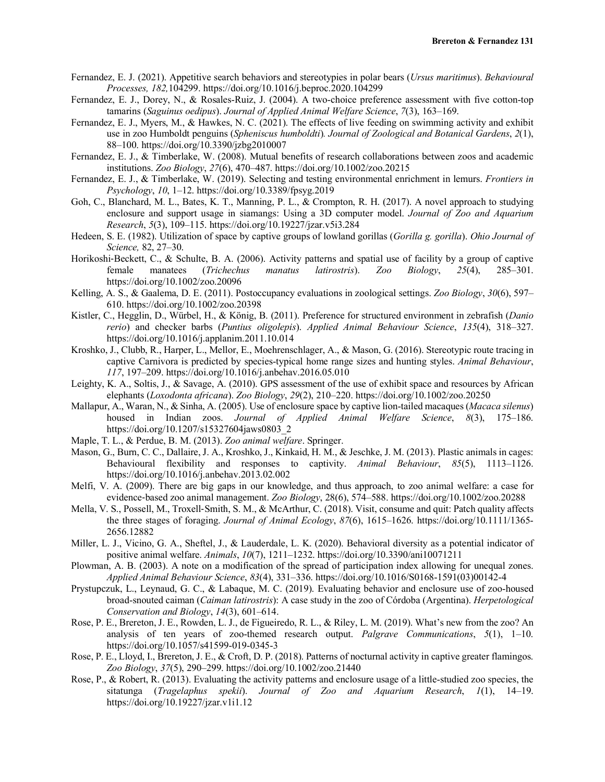- Fernandez, E. J. (2021). Appetitive search behaviors and stereotypies in polar bears (*Ursus maritimus*). *Behavioural Processes, 182,*104299. https://doi.org/10.1016/j.beproc.2020.104299
- Fernandez, E. J., Dorey, N., & Rosales-Ruiz, J. (2004). A two-choice preference assessment with five cotton-top tamarins (*Saguinus oedipus*). *Journal of Applied Animal Welfare Science*, *7*(3), 163–169.
- Fernandez, E. J., Myers, M., & Hawkes, N. C. (2021). The effects of live feeding on swimming activity and exhibit use in zoo Humboldt penguins (*Spheniscus humboldti*)*. Journal of Zoological and Botanical Gardens*, *2*(1), 88–100. https://doi.org/10.3390/jzbg2010007
- Fernandez, E. J., & Timberlake, W. (2008). Mutual benefits of research collaborations between zoos and academic institutions. *Zoo Biology*, *27*(6), 470–487. https://doi.org/10.1002/zoo.20215
- Fernandez, E. J., & Timberlake, W. (2019). Selecting and testing environmental enrichment in lemurs. *Frontiers in Psychology*, *10*, 1–12. https://doi.org/10.3389/fpsyg.2019
- Goh, C., Blanchard, M. L., Bates, K. T., Manning, P. L., & Crompton, R. H. (2017). A novel approach to studying enclosure and support usage in siamangs: Using a 3D computer model. *Journal of Zoo and Aquarium Research*, *5*(3), 109–115. https://doi.org/10.19227/jzar.v5i3.284
- Hedeen, S. E. (1982). Utilization of space by captive groups of lowland gorillas (*Gorilla g. gorilla*). *Ohio Journal of Science,* 82, 27–30.
- Horikoshi-Beckett, C., & Schulte, B. A. (2006). Activity patterns and spatial use of facility by a group of captive female manatees (*Trichechus manatus latirostris*). *Zoo Biology*, *25*(4), 285–301. https://doi.org/10.1002/zoo.20096
- Kelling, A. S., & Gaalema, D. E. (2011). Postoccupancy evaluations in zoological settings. *Zoo Biology*, *30*(6), 597– 610. https://doi.org/10.1002/zoo.20398
- Kistler, C., Hegglin, D., Würbel, H., & König, B. (2011). Preference for structured environment in zebrafish (*Danio rerio*) and checker barbs (*Puntius oligolepis*). *Applied Animal Behaviour Science*, *135*(4), 318–327. https://doi.org/10.1016/j.applanim.2011.10.014
- Kroshko, J., Clubb, R., Harper, L., Mellor, E., Moehrenschlager, A., & Mason, G. (2016). Stereotypic route tracing in captive Carnivora is predicted by species-typical home range sizes and hunting styles. *Animal Behaviour*, *117*, 197–209. https://doi.org/10.1016/j.anbehav.2016.05.010
- Leighty, K. A., Soltis, J., & Savage, A. (2010). GPS assessment of the use of exhibit space and resources by African elephants (*Loxodonta africana*). *Zoo Biology*, *29*(2), 210–220. https://doi.org/10.1002/zoo.20250
- Mallapur, A., Waran, N., & Sinha, A. (2005). Use of enclosure space by captive lion-tailed macaques (*Macaca silenus*) housed in Indian zoos. *Journal of Applied Animal Welfare Science*, *8*(3), 175–186. https://doi.org/10.1207/s15327604jaws0803\_2
- Maple, T. L., & Perdue, B. M. (2013). *Zoo animal welfare*. Springer.
- Mason, G., Burn, C. C., Dallaire, J. A., Kroshko, J., Kinkaid, H. M., & Jeschke, J. M. (2013). Plastic animals in cages: Behavioural flexibility and responses to captivity. *Animal Behaviour*, *85*(5), 1113–1126. https://doi.org/10.1016/j.anbehav.2013.02.002
- Melfi, V. A. (2009). There are big gaps in our knowledge, and thus approach, to zoo animal welfare: a case for evidence-based zoo animal management. *Zoo Biology*, 28(6), 574–588. https://doi.org/10.1002/zoo.20288
- Mella, V. S., Possell, M., Troxell-Smith, S. M., & McArthur, C. (2018). Visit, consume and quit: Patch quality affects the three stages of foraging. *Journal of Animal Ecology*, *87*(6), 1615–1626. https://doi.org/10.1111/1365- 2656.12882
- Miller, L. J., Vicino, G. A., Sheftel, J., & Lauderdale, L. K. (2020). Behavioral diversity as a potential indicator of positive animal welfare. *Animals*, *10*(7), 1211–1232. https://doi.org/10.3390/ani10071211
- Plowman, A. B. (2003). A note on a modification of the spread of participation index allowing for unequal zones. *Applied Animal Behaviour Science*, *83*(4), 331–336. https://doi.org/10.1016/S0168-1591(03)00142-4
- Prystupczuk, L., Leynaud, G. C., & Labaque, M. C. (2019). Evaluating behavior and enclosure use of zoo-housed broad-snouted caiman (*Caiman latirostris*): A case study in the zoo of Córdoba (Argentina). *Herpetological Conservation and Biology*, *14*(3), 601–614.
- Rose, P. E., Brereton, J. E., Rowden, L. J., de Figueiredo, R. L., & Riley, L. M. (2019). What's new from the zoo? An analysis of ten years of zoo-themed research output. *Palgrave Communications*, *5*(1), 1–10. https://doi.org/10.1057/s41599-019-0345-3
- Rose, P. E., Lloyd, I., Brereton, J. E., & Croft, D. P. (2018). Patterns of nocturnal activity in captive greater flamingos. *Zoo Biology*, *37*(5), 290–299. https://doi.org/10.1002/zoo.21440
- Rose, P., & Robert, R. (2013). Evaluating the activity patterns and enclosure usage of a little-studied zoo species, the sitatunga (*Tragelaphus spekii*). *Journal of Zoo and Aquarium Research*, *1*(1), 14–19. https://doi.org/10.19227/jzar.v1i1.12